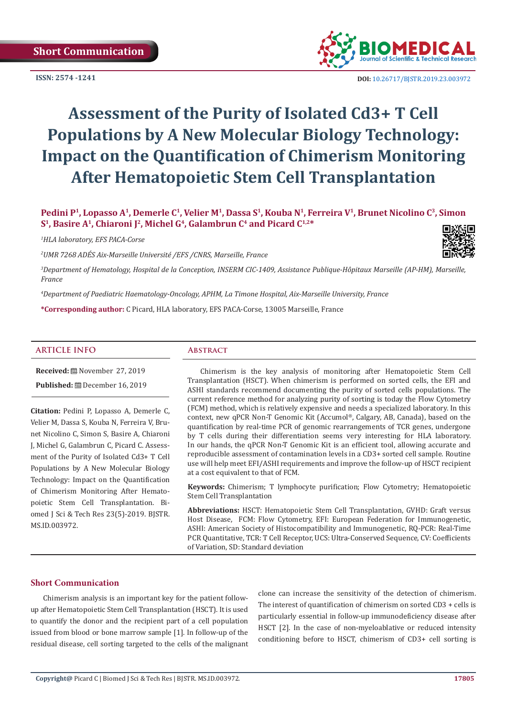**ISSN: 2574 -1241**



 **DOI:** [10.26717/BJSTR.2019.23.0039](http://dx.doi.org/10.26717/BJSTR.2019.23.003972)72

# **Assessment of the Purity of Isolated Cd3+ T Cell Populations by A New Molecular Biology Technology: Impact on the Quantification of Chimerism Monitoring After Hematopoietic Stem Cell Transplantation**

Pedini P<sup>1</sup>, Lopasso A<sup>1</sup>, Demerle C<sup>1</sup>, Velier M<sup>1</sup>, Dassa S<sup>1</sup>, Kouba N<sup>1</sup>, Ferreira V<sup>1</sup>, Brunet Nicolino C<sup>3</sup>, Simon S<sup>1</sup>, Basire A<sup>1</sup>, Chiaroni J<sup>2</sup>, Michel G<sup>4</sup>, Galambrun C<sup>4</sup> and Picard C<sup>1,2\*</sup>

*1 HLA laboratory, EFS PACA-Corse*

*2 UMR 7268 ADÉS Aix-Marseille Université /EFS /CNRS, Marseille, France*



<sup>3</sup>Department of Hematology, Hospital de la Conception, INSERM CIC-1409, Assistance Publique-Hôpitaux Marseille (AP-HM), Marseille, *France*

*4 Department of Paediatric Haematology-Oncology, APHM, La Timone Hospital, Aix-Marseille University, France*

**\*Corresponding author:** C Picard, HLA laboratory, EFS PACA-Corse, 13005 Marseille, France

### **ARTICLE INFO Abstract**

**Received:** November 27, 2019 **Published:** December 16, 2019

**Citation:** Pedini P, Lopasso A, Demerle C, Velier M, Dassa S, Kouba N, Ferreira V, Brunet Nicolino C, Simon S, Basire A, Chiaroni J, Michel G, Galambrun C, Picard C. Assessment of the Purity of Isolated Cd3+ T Cell Populations by A New Molecular Biology Technology: Impact on the Quantification of Chimerism Monitoring After Hematopoietic Stem Cell Transplantation. Biomed J Sci & Tech Res 23(5)-2019. BJSTR. MS.ID.003972.

Chimerism is the key analysis of monitoring after Hematopoietic Stem Cell Transplantation (HSCT). When chimerism is performed on sorted cells, the EFI and ASHI standards recommend documenting the purity of sorted cells populations. The current reference method for analyzing purity of sorting is today the Flow Cytometry (FCM) method, which is relatively expensive and needs a specialized laboratory. In this context, new qPCR Non-T Genomic Kit (Accumol®, Calgary, AB, Canada), based on the quantification by real-time PCR of genomic rearrangements of TCR genes, undergone by T cells during their differentiation seems very interesting for HLA laboratory. In our hands, the qPCR Non-T Genomic Kit is an efficient tool, allowing accurate and reproducible assessment of contamination levels in a CD3+ sorted cell sample. Routine use will help meet EFI/ASHI requirements and improve the follow-up of HSCT recipient at a cost equivalent to that of FCM.

**Keywords:** Chimerism; T lymphocyte purification; Flow Cytometry; Hematopoietic Stem Cell Transplantation

**Abbreviations:** HSCT: Hematopoietic Stem Cell Transplantation, GVHD: Graft versus Host Disease, FCM: Flow Cytometry, EFI: European Federation for Immunogenetic, ASHI: American Society of Histocompatibility and Immunogenetic, RQ-PCR: Real-Time PCR Quantitative, TCR: T Cell Receptor, UCS: Ultra-Conserved Sequence, CV: Coefficients of Variation, SD: Standard deviation

# **Short Communication**

Chimerism analysis is an important key for the patient followup after Hematopoietic Stem Cell Transplantation (HSCT). It is used to quantify the donor and the recipient part of a cell population issued from blood or bone marrow sample [1]. In follow-up of the residual disease, cell sorting targeted to the cells of the malignant clone can increase the sensitivity of the detection of chimerism. The interest of quantification of chimerism on sorted CD3 + cells is particularly essential in follow-up immunodeficiency disease after HSCT [2]. In the case of non-myeloablative or reduced intensity conditioning before to HSCT, chimerism of CD3+ cell sorting is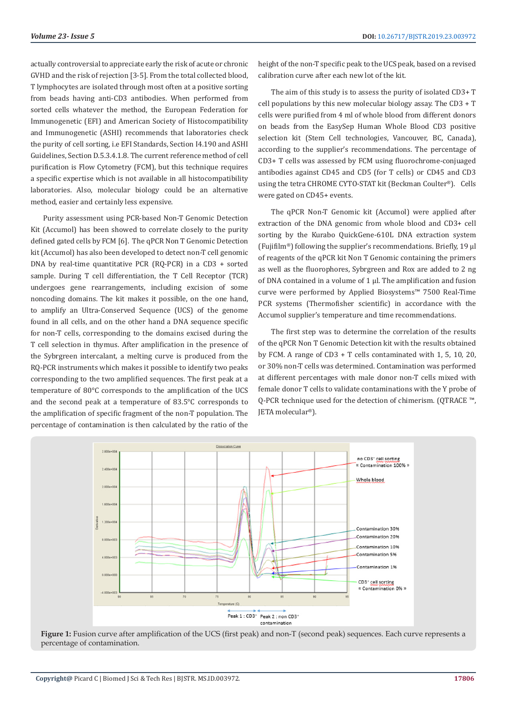actually controversial to appreciate early the risk of acute or chronic GVHD and the risk of rejection [3-5]. From the total collected blood, T lymphocytes are isolated through most often at a positive sorting from beads having anti-CD3 antibodies. When performed from sorted cells whatever the method, the European Federation for Immunogenetic (EFI) and American Society of Histocompatibility and Immunogenetic (ASHI) recommends that laboratories check the purity of cell sorting, i.e EFI Standards, Section I4.190 and ASHI Guidelines, Section D.5.3.4.1.8. The current reference method of cell purification is Flow Cytometry (FCM), but this technique requires a specific expertise which is not available in all histocompatibility laboratories. Also, molecular biology could be an alternative method, easier and certainly less expensive.

Purity assessment using PCR-based Non-T Genomic Detection Kit (Accumol) has been showed to correlate closely to the purity defined gated cells by FCM [6]. The qPCR Non T Genomic Detection kit (Accumol) has also been developed to detect non-T cell genomic DNA by real-time quantitative PCR (RQ-PCR) in a CD3 + sorted sample. During T cell differentiation, the T Cell Receptor (TCR) undergoes gene rearrangements, including excision of some noncoding domains. The kit makes it possible, on the one hand, to amplify an Ultra-Conserved Sequence (UCS) of the genome found in all cells, and on the other hand a DNA sequence specific for non-T cells, corresponding to the domains excised during the T cell selection in thymus. After amplification in the presence of the Sybrgreen intercalant, a melting curve is produced from the RQ-PCR instruments which makes it possible to identify two peaks corresponding to the two amplified sequences. The first peak at a temperature of 80°C corresponds to the amplification of the UCS and the second peak at a temperature of 83.5°C corresponds to the amplification of specific fragment of the non-T population. The percentage of contamination is then calculated by the ratio of the

height of the non-T specific peak to the UCS peak, based on a revised calibration curve after each new lot of the kit.

The aim of this study is to assess the purity of isolated CD3+ T cell populations by this new molecular biology assay. The CD3 + T cells were purified from 4 ml of whole blood from different donors on beads from the EasySep Human Whole Blood CD3 positive selection kit (Stem Cell technologies, Vancouver, BC, Canada), according to the supplier's recommendations. The percentage of CD3+ T cells was assessed by FCM using fluorochrome-conjuaged antibodies against CD45 and CD5 (for T cells) or CD45 and CD3 using the tetra CHROME CYTO-STAT kit (Beckman Coulter®). Cells were gated on CD45+ events.

The qPCR Non-T Genomic kit (Accumol) were applied after extraction of the DNA genomic from whole blood and CD3+ cell sorting by the Kurabo QuickGene-610L DNA extraction system (Fujifilm®) following the supplier's recommendations. Briefly, 19 μl of reagents of the qPCR kit Non T Genomic containing the primers as well as the fluorophores, Sybrgreen and Rox are added to 2 ng of DNA contained in a volume of 1 μl. The amplification and fusion curve were performed by Applied Biosystems™ 7500 Real-Time PCR systems (Thermofisher scientific) in accordance with the Accumol supplier's temperature and time recommendations.

The first step was to determine the correlation of the results of the qPCR Non T Genomic Detection kit with the results obtained by FCM. A range of CD3 + T cells contaminated with 1, 5, 10, 20, or 30% non-T cells was determined. Contamination was performed at different percentages with male donor non-T cells mixed with female donor T cells to validate contaminations with the Y probe of Q-PCR technique used for the detection of chimerism. (QTRACE ™, JETA molecular®).



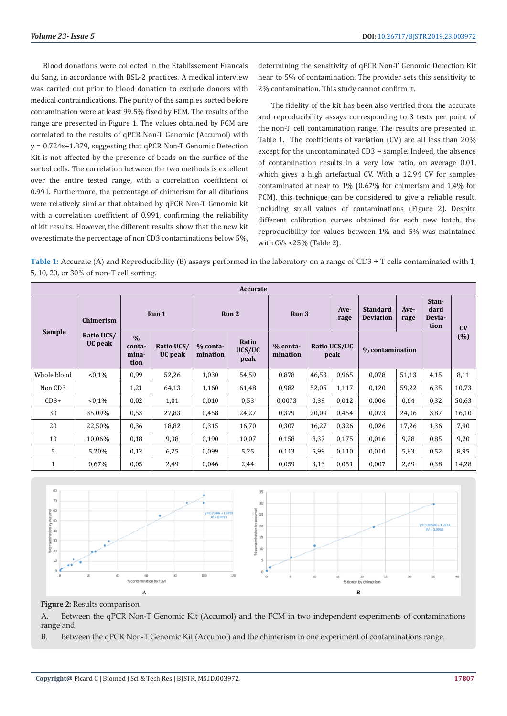Blood donations were collected in the Etablissement Francais du Sang, in accordance with BSL-2 practices. A medical interview was carried out prior to blood donation to exclude donors with medical contraindications. The purity of the samples sorted before contamination were at least 99.5% fixed by FCM. The results of the range are presented in Figure 1. The values obtained by FCM are correlated to the results of qPCR Non-T Genomic (Accumol) with  $y = 0.724x + 1.879$ , suggesting that qPCR Non-T Genomic Detection Kit is not affected by the presence of beads on the surface of the sorted cells. The correlation between the two methods is excellent over the entire tested range, with a correlation coefficient of 0.991. Furthermore, the percentage of chimerism for all dilutions were relatively similar that obtained by qPCR Non-T Genomic kit with a correlation coefficient of 0.991, confirming the reliability of kit results. However, the different results show that the new kit overestimate the percentage of non CD3 contaminations below 5%,

determining the sensitivity of qPCR Non-T Genomic Detection Kit near to 5% of contamination. The provider sets this sensitivity to 2% contamination. This study cannot confirm it.

The fidelity of the kit has been also verified from the accurate and reproducibility assays corresponding to 3 tests per point of the non-T cell contamination range. The results are presented in Table 1. The coefficients of variation (CV) are all less than 20% except for the uncontaminated CD3 + sample. Indeed, the absence of contamination results in a very low ratio, on average 0.01, which gives a high artefactual CV. With a 12.94 CV for samples contaminated at near to 1% (0.67% for chimerism and 1,4% for FCM), this technique can be considered to give a reliable result, including small values of contaminations (Figure 2). Despite different calibration curves obtained for each new batch, the reproducibility for values between 1% and 5% was maintained with CVs <25% (Table 2).

**Table 1:** Accurate (A) and Reproducibility (B) assays performed in the laboratory on a range of CD3 + T cells contaminated with 1, 5, 10, 20, or 30% of non-T cell sorting.

| Accurate    |                       |                                          |                       |                      |                         |                        |                      |              |                                                     |                 |                                 |       |
|-------------|-----------------------|------------------------------------------|-----------------------|----------------------|-------------------------|------------------------|----------------------|--------------|-----------------------------------------------------|-----------------|---------------------------------|-------|
| Sample      | Chimerism             | Run 1                                    |                       | Run 2                |                         | Run 3                  |                      | Ave-<br>rage | <b>Standard</b><br>Ave-<br><b>Deviation</b><br>rage |                 | Stan-<br>dard<br>Devia-<br>tion | CV    |
|             | Ratio UCS/<br>UC peak | $\frac{0}{0}$<br>conta-<br>mina-<br>tion | Ratio UCS/<br>UC peak | % conta-<br>mination | Ratio<br>UCS/UC<br>peak | $%$ conta-<br>mination | Ratio UCS/UC<br>peak |              |                                                     | % contamination |                                 | (%)   |
| Whole blood | $< 0.1\%$             | 0,99                                     | 52,26                 | 1,030                | 54,59                   | 0,878                  | 46,53                | 0,965        | 0,078                                               | 51,13           | 4,15                            | 8,11  |
| Non CD3     |                       | 1,21                                     | 64,13                 | 1,160                | 61,48                   | 0,982                  | 52,05                | 1,117        | 0,120                                               | 59,22           | 6,35                            | 10,73 |
| $CD3+$      | $< 0.1\%$             | 0,02                                     | 1,01                  | 0,010                | 0,53                    | 0,0073                 | 0,39                 | 0,012        | 0,006                                               | 0.64            | 0,32                            | 50,63 |
| 30          | 35,09%                | 0,53                                     | 27,83                 | 0,458                | 24,27                   | 0,379                  | 20,09                | 0,454        | 0,073                                               | 24,06           | 3,87                            | 16,10 |
| 20          | 22,50%                | 0,36                                     | 18,82                 | 0,315                | 16,70                   | 0,307                  | 16,27                | 0,326        | 0,026                                               | 17,26           | 1,36                            | 7,90  |
| 10          | 10,06%                | 0,18                                     | 9,38                  | 0,190                | 10,07                   | 0,158                  | 8,37                 | 0,175        | 0,016                                               | 9,28            | 0,85                            | 9,20  |
| 5           | 5,20%                 | 0,12                                     | 6,25                  | 0,099                | 5,25                    | 0,113                  | 5,99                 | 0,110        | 0,010                                               | 5,83            | 0,52                            | 8,95  |
| 1           | 0,67%                 | 0,05                                     | 2,49                  | 0,046                | 2,44                    | 0,059                  | 3,13                 | 0,051        | 0,007                                               | 2,69            | 0,38                            | 14,28 |



# **Figure 2:** Results comparison

A. Between the qPCR Non-T Genomic Kit (Accumol) and the FCM in two independent experiments of contaminations range and

B. Between the qPCR Non-T Genomic Kit (Accumol) and the chimerism in one experiment of contaminations range.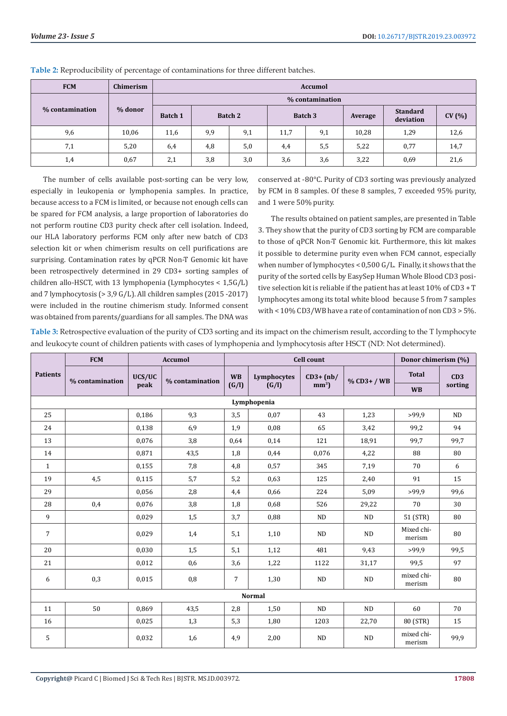| <b>FCM</b>      | Chimerism | <b>Accumol</b>  |     |         |         |     |         |      |       |  |  |
|-----------------|-----------|-----------------|-----|---------|---------|-----|---------|------|-------|--|--|
|                 |           | % contamination |     |         |         |     |         |      |       |  |  |
| % contamination | % donor   | <b>Batch 1</b>  |     | Batch 2 | Batch 3 |     | Average |      | CV(%) |  |  |
| 9,6             | 10,06     | 11,6            | 9,9 | 9,1     | 11,7    | 9,1 | 10,28   | 1,29 | 12,6  |  |  |
| 7,1             | 5,20      | 6,4             | 4,8 | 5,0     | 4,4     | 5,5 | 5,22    | 0,77 | 14,7  |  |  |
| 1,4             | 0.67      | 2,1             | 3,8 | 3,0     | 3,6     | 3,6 | 3,22    | 0,69 | 21,6  |  |  |

**Table 2:** Reproducibility of percentage of contaminations for three different batches.

The number of cells available post-sorting can be very low, especially in leukopenia or lymphopenia samples. In practice, because access to a FCM is limited, or because not enough cells can be spared for FCM analysis, a large proportion of laboratories do not perform routine CD3 purity check after cell isolation. Indeed, our HLA laboratory performs FCM only after new batch of CD3 selection kit or when chimerism results on cell purifications are surprising. Contamination rates by qPCR Non-T Genomic kit have been retrospectively determined in 29 CD3+ sorting samples of children allo-HSCT, with 13 lymphopenia (Lymphocytes < 1,5G/L) and 7 lymphocytosis (> 3,9 G/L). All children samples (2015 -2017) were included in the routine chimerism study. Informed consent was obtained from parents/guardians for all samples. The DNA was

conserved at -80°C. Purity of CD3 sorting was previously analyzed by FCM in 8 samples. Of these 8 samples, 7 exceeded 95% purity, and 1 were 50% purity.

The results obtained on patient samples, are presented in Table 3. They show that the purity of CD3 sorting by FCM are comparable to those of qPCR Non-T Genomic kit. Furthermore, this kit makes it possible to determine purity even when FCM cannot, especially when number of lymphocytes < 0,500 G/L. Finally, it shows that the purity of the sorted cells by EasySep Human Whole Blood CD3 positive selection kit is reliable if the patient has at least 10% of CD3 + T lymphocytes among its total white blood because 5 from 7 samples with < 10% CD3/WB have a rate of contamination of non CD3 > 5%.

**Table 3:** Retrospective evaluation of the purity of CD3 sorting and its impact on the chimerism result, according to the T lymphocyte and leukocyte count of children patients with cases of lymphopenia and lymphocytosis after HSCT (ND: Not determined).

|                 | <b>FCM</b>      |                           | <b>Accumol</b> |                          | <b>Cell count</b> | Donor chimerism (%) |               |                      |         |  |  |
|-----------------|-----------------|---------------------------|----------------|--------------------------|-------------------|---------------------|---------------|----------------------|---------|--|--|
| <b>Patients</b> | % contamination | UCS/UC<br>% contamination |                | <b>WB</b><br>Lymphocytes |                   | $CD3+ (nb/$         | $%$ CD3+ / WB | <b>Total</b>         | CD3     |  |  |
|                 |                 | peak                      |                | (G/I)                    | (G/I)             | mm <sup>3</sup>     |               | <b>WB</b>            | sorting |  |  |
|                 |                 |                           |                |                          | Lymphopenia       |                     |               |                      |         |  |  |
| 25              |                 | 0,186                     | 9,3            | 3,5                      | 0,07              | 43                  | 1,23          | >99.9                | ND      |  |  |
| 24              |                 | 0,138                     | 6,9            | 1,9                      | 0,08              | 65                  | 3,42          | 99,2                 | 94      |  |  |
| 13              |                 | 0,076                     | 3,8            | 0,64                     | 0.14              | 121                 | 18,91         | 99.7                 | 99,7    |  |  |
| 14              |                 | 0,871                     | 43,5           | 1,8                      | 0,44              | 0,076               | 4,22          | 88                   | 80      |  |  |
| $\mathbf{1}$    |                 | 0,155                     | 7,8            | 4,8                      | 0,57              | 345                 | 7,19          | 70                   | 6       |  |  |
| 19              | 4,5             | 0,115                     | 5,7            | 5,2                      | 0,63              | 125                 | 2,40          | 91                   | 15      |  |  |
| 29              |                 | 0,056                     | 2,8            | 4,4                      | 0,66              | 224                 | 5,09          | >99.9                | 99,6    |  |  |
| 28              | 0,4             | 0,076                     | 3,8            | 1,8                      | 0,68              | 526                 | 29,22         | 70                   | 30      |  |  |
| 9               |                 | 0,029                     | 1,5            | 3,7                      | 0,88              | ND                  | ND            | 51 (STR)             | 80      |  |  |
| $\overline{7}$  |                 | 0,029                     | 1,4            | 5,1                      | 1,10              | ND                  | ND            | Mixed chi-<br>merism | 80      |  |  |
| 20              |                 | 0,030                     | 1,5            | 5,1                      | 1,12              | 481                 | 9,43          | >99.9                | 99,5    |  |  |
| 21              |                 | 0,012                     | 0,6            | 3,6                      | 1,22              | 1122                | 31,17         | 99,5                 | 97      |  |  |
| 6               | 0,3             | 0,015                     | 0,8            | $\overline{7}$           | 1,30              | ND                  | ND            | mixed chi-<br>merism | 80      |  |  |
| <b>Normal</b>   |                 |                           |                |                          |                   |                     |               |                      |         |  |  |
| 11              | 50              | 0,869                     | 43,5           | 2,8                      | 1,50              | ND                  | ND            | 60                   | 70      |  |  |
| 16              |                 | 0,025                     | 1,3            | 5,3                      | 1,80              | 1203                | 22,70         | 80 (STR)             | 15      |  |  |
| 5               |                 | 0,032                     | 1,6            | 4,9                      | 2,00              | $\rm ND$            | ND            | mixed chi-<br>merism | 99,9    |  |  |